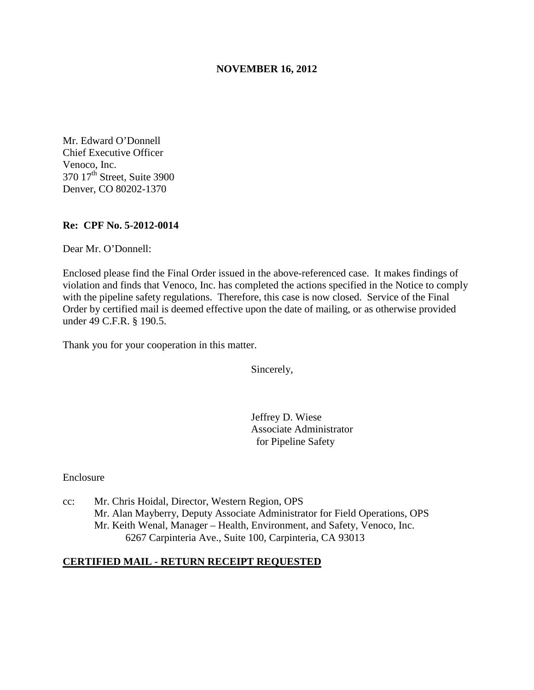## **NOVEMBER 16, 2012**

Mr. Edward O'Donnell Chief Executive Officer Venoco, Inc. 370 17<sup>th</sup> Street, Suite 3900 Denver, CO 80202-1370

### **Re: CPF No. 5-2012-0014**

Dear Mr. O'Donnell:

Enclosed please find the Final Order issued in the above-referenced case. It makes findings of violation and finds that Venoco, Inc. has completed the actions specified in the Notice to comply with the pipeline safety regulations. Therefore, this case is now closed. Service of the Final Order by certified mail is deemed effective upon the date of mailing, or as otherwise provided under 49 C.F.R. § 190.5.

Thank you for your cooperation in this matter.

Sincerely,

Jeffrey D. Wiese Associate Administrator for Pipeline Safety

Enclosure

cc: Mr. Chris Hoidal, Director, Western Region, OPS Mr. Alan Mayberry, Deputy Associate Administrator for Field Operations, OPS Mr. Keith Wenal, Manager – Health, Environment, and Safety, Venoco, Inc. 6267 Carpinteria Ave., Suite 100, Carpinteria, CA 93013

## **CERTIFIED MAIL - RETURN RECEIPT REQUESTED**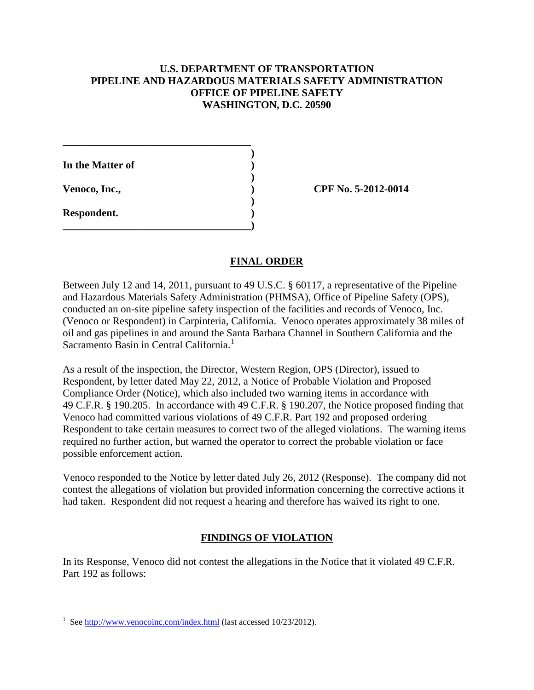## **U.S. DEPARTMENT OF TRANSPORTATION PIPELINE AND HAZARDOUS MATERIALS SAFETY ADMINISTRATION OFFICE OF PIPELINE SAFETY WASHINGTON, D.C. 20590**

| In the Matter of |  |
|------------------|--|
| Venoco, Inc.,    |  |
|                  |  |

**Respondent. )** 

 $\overline{a}$ 

**\_\_\_\_\_\_\_\_\_\_\_\_\_\_\_\_\_\_\_\_\_\_\_\_\_\_\_\_\_\_\_\_\_\_\_\_** 

 **)** 

**\_\_\_\_\_\_\_\_\_\_\_\_\_\_\_\_\_\_\_\_\_\_\_\_\_\_\_\_\_\_\_\_\_\_\_\_)** 

**CPF No. 5-2012-0014** 

## **FINAL ORDER**

Between July 12 and 14, 2011, pursuant to 49 U.S.C. § 60117, a representative of the Pipeline and Hazardous Materials Safety Administration (PHMSA), Office of Pipeline Safety (OPS), conducted an on-site pipeline safety inspection of the facilities and records of Venoco, Inc. (Venoco or Respondent) in Carpinteria, California. Venoco operates approximately 38 miles of oil and gas pipelines in and around the Santa Barbara Channel in Southern California and the Sacramento Basin in Central California.<sup>1</sup>

As a result of the inspection, the Director, Western Region, OPS (Director), issued to Respondent, by letter dated May 22, 2012, a Notice of Probable Violation and Proposed Compliance Order (Notice), which also included two warning items in accordance with 49 C.F.R. § 190.205. In accordance with 49 C.F.R. § 190.207, the Notice proposed finding that Venoco had committed various violations of 49 C.F.R. Part 192 and proposed ordering Respondent to take certain measures to correct two of the alleged violations. The warning items required no further action, but warned the operator to correct the probable violation or face possible enforcement action.

Venoco responded to the Notice by letter dated July 26, 2012 (Response). The company did not contest the allegations of violation but provided information concerning the corrective actions it had taken. Respondent did not request a hearing and therefore has waived its right to one.

# **FINDINGS OF VIOLATION**

In its Response, Venoco did not contest the allegations in the Notice that it violated 49 C.F.R. Part 192 as follows:

<sup>1</sup> See http://www.venocoinc.com/index.html (last accessed 10/23/2012).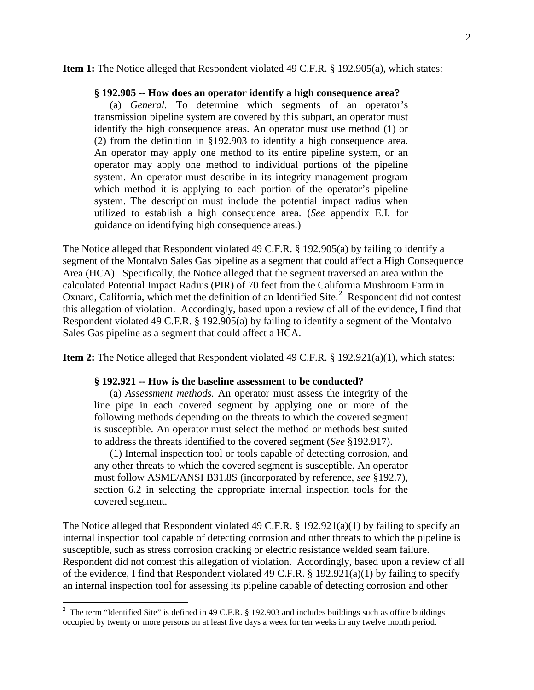#### **Item 1:** The Notice alleged that Respondent violated 49 C.F.R. § 192.905(a), which states:

#### **§ 192.905 -- How does an operator identify a high consequence area?**

(a) *General.* To determine which segments of an operator's transmission pipeline system are covered by this subpart, an operator must identify the high consequence areas. An operator must use method (1) or (2) from the definition in §192.903 to identify a high consequence area. An operator may apply one method to its entire pipeline system, or an operator may apply one method to individual portions of the pipeline system. An operator must describe in its integrity management program which method it is applying to each portion of the operator's pipeline system. The description must include the potential impact radius when utilized to establish a high consequence area. (*See* appendix E.I. for guidance on identifying high consequence areas.)

The Notice alleged that Respondent violated 49 C.F.R. § 192.905(a) by failing to identify a segment of the Montalvo Sales Gas pipeline as a segment that could affect a High Consequence Area (HCA). Specifically, the Notice alleged that the segment traversed an area within the calculated Potential Impact Radius (PIR) of 70 feet from the California Mushroom Farm in Oxnard, California, which met the definition of an Identified Site.<sup>2</sup> Respondent did not contest this allegation of violation. Accordingly, based upon a review of all of the evidence, I find that Respondent violated 49 C.F.R. § 192.905(a) by failing to identify a segment of the Montalvo Sales Gas pipeline as a segment that could affect a HCA.

**Item 2:** The Notice alleged that Respondent violated 49 C.F.R. § 192.921(a)(1), which states:

#### **§ 192.921 -- How is the baseline assessment to be conducted?**

(a) *Assessment methods.* An operator must assess the integrity of the line pipe in each covered segment by applying one or more of the following methods depending on the threats to which the covered segment is susceptible. An operator must select the method or methods best suited to address the threats identified to the covered segment (*See* §192.917).

(1) Internal inspection tool or tools capable of detecting corrosion, and any other threats to which the covered segment is susceptible. An operator must follow ASME/ANSI B31.8S (incorporated by reference, *see* §192.7), section 6.2 in selecting the appropriate internal inspection tools for the covered segment.

The Notice alleged that Respondent violated 49 C.F.R. § 192.921(a)(1) by failing to specify an internal inspection tool capable of detecting corrosion and other threats to which the pipeline is susceptible, such as stress corrosion cracking or electric resistance welded seam failure. Respondent did not contest this allegation of violation. Accordingly, based upon a review of all of the evidence, I find that Respondent violated 49 C.F.R. § 192.921(a)(1) by failing to specify an internal inspection tool for assessing its pipeline capable of detecting corrosion and other

<sup>&</sup>lt;sup>2</sup> The term "Identified Site" is defined in 49 C.F.R. § 192.903 and includes buildings such as office buildings occupied by twenty or more persons on at least five days a week for ten weeks in any twelve month period.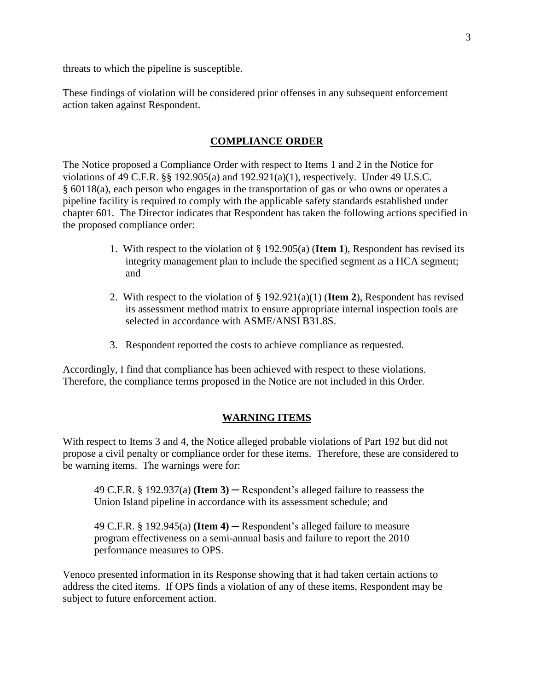threats to which the pipeline is susceptible.

These findings of violation will be considered prior offenses in any subsequent enforcement action taken against Respondent.

## **COMPLIANCE ORDER**

The Notice proposed a Compliance Order with respect to Items 1 and 2 in the Notice for violations of 49 C.F.R. §§ 192.905(a) and 192.921(a)(1), respectively. Under 49 U.S.C. § 60118(a), each person who engages in the transportation of gas or who owns or operates a pipeline facility is required to comply with the applicable safety standards established under chapter 601. The Director indicates that Respondent has taken the following actions specified in the proposed compliance order:

- 1. With respect to the violation of § 192.905(a) (**Item 1**), Respondent has revised its integrity management plan to include the specified segment as a HCA segment; and
- 2. With respect to the violation of § 192.921(a)(1) (**Item 2**), Respondent has revised its assessment method matrix to ensure appropriate internal inspection tools are selected in accordance with ASME/ANSI B31.8S.
- 3. Respondent reported the costs to achieve compliance as requested.

Accordingly, I find that compliance has been achieved with respect to these violations. Therefore, the compliance terms proposed in the Notice are not included in this Order.

## **WARNING ITEMS**

With respect to Items 3 and 4, the Notice alleged probable violations of Part 192 but did not propose a civil penalty or compliance order for these items. Therefore, these are considered to be warning items. The warnings were for:

49 C.F.R. § 192.937(a) **(Item 3)** ─ Respondent's alleged failure to reassess the Union Island pipeline in accordance with its assessment schedule; and

49 C.F.R. § 192.945(a) **(Item 4)** ─ Respondent's alleged failure to measure program effectiveness on a semi-annual basis and failure to report the 2010 performance measures to OPS.

Venoco presented information in its Response showing that it had taken certain actions to address the cited items. If OPS finds a violation of any of these items, Respondent may be subject to future enforcement action.